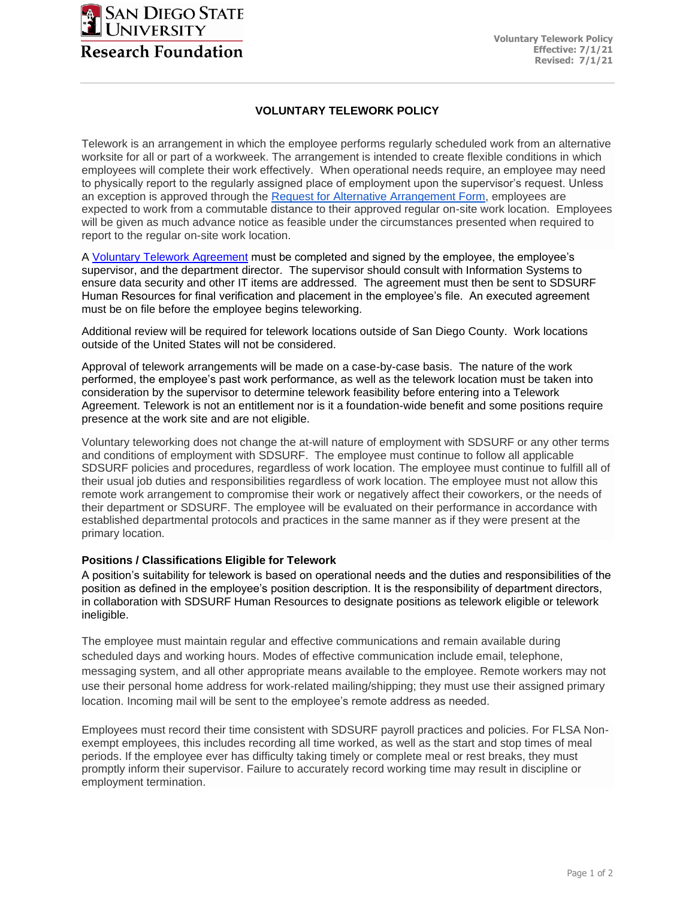

## **VOLUNTARY TELEWORK POLICY**

Telework is an arrangement in which the employee performs regularly scheduled work from an alternative worksite for all or part of a workweek. The arrangement is intended to create flexible conditions in which employees will complete their work effectively. When operational needs require, an employee may need to physically report to the regularly assigned place of employment upon the supervisor's request. Unless an exception is approved through the [Request for Alternative Arrangement Form,](https://docs.google.com/forms/d/e/1FAIpQLSeDHP7DVQsn1rOLdgDmqi60f5S3PrA10BxA6W30Vuog2ubr3A/viewform) employees are expected to work from a commutable distance to their approved regular on-site work location. Employees will be given as much advance notice as feasible under the circumstances presented when required to report to the regular on-site work location.

A [Voluntary Telework Agreement](https://www.foundation.sdsu.edu/pdf/sdsurf_voluntary_telework_agreement_project_agency.pdf) must be completed and signed by the employee, the employee's supervisor, and the department director. The supervisor should consult with Information Systems to ensure data security and other IT items are addressed. The agreement must then be sent to SDSURF Human Resources for final verification and placement in the employee's file. An executed agreement must be on file before the employee begins teleworking.

Additional review will be required for telework locations outside of San Diego County. Work locations outside of the United States will not be considered.

Approval of telework arrangements will be made on a case-by-case basis. The nature of the work performed, the employee's past work performance, as well as the telework location must be taken into consideration by the supervisor to determine telework feasibility before entering into a Telework Agreement. Telework is not an entitlement nor is it a foundation-wide benefit and some positions require presence at the work site and are not eligible.

Voluntary teleworking does not change the at-will nature of employment with SDSURF or any other terms and conditions of employment with SDSURF. The employee must continue to follow all applicable SDSURF policies and procedures, regardless of work location. The employee must continue to fulfill all of their usual job duties and responsibilities regardless of work location. The employee must not allow this remote work arrangement to compromise their work or negatively affect their coworkers, or the needs of their department or SDSURF. The employee will be evaluated on their performance in accordance with established departmental protocols and practices in the same manner as if they were present at the primary location.

## **Positions / Classifications Eligible for Telework**

A position's suitability for telework is based on operational needs and the duties and responsibilities of the position as defined in the employee's position description. It is the responsibility of department directors, in collaboration with SDSURF Human Resources to designate positions as telework eligible or telework ineligible.

The employee must maintain regular and effective communications and remain available during scheduled days and working hours. Modes of effective communication include email, telephone, messaging system, and all other appropriate means available to the employee. Remote workers may not use their personal home address for work-related mailing/shipping; they must use their assigned primary location. Incoming mail will be sent to the employee's remote address as needed.

Employees must record their time consistent with SDSURF payroll practices and policies. For FLSA Nonexempt employees, this includes recording all time worked, as well as the start and stop times of meal periods. If the employee ever has difficulty taking timely or complete meal or rest breaks, they must promptly inform their supervisor. Failure to accurately record working time may result in discipline or employment termination.